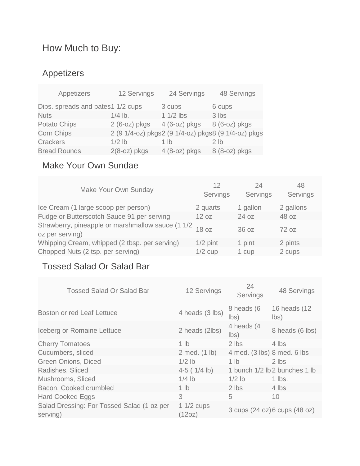# How Much to Buy:

### Appetizers

| Appetizers                        | 12 Servings    | 24 Servings    | 48 Servings                                         |
|-----------------------------------|----------------|----------------|-----------------------------------------------------|
| Dips. spreads and pates1 1/2 cups |                | 3 cups         | 6 cups                                              |
| <b>Nuts</b>                       | $1/4$ lb.      | $11/2$ lbs     | 3 lbs                                               |
| Potato Chips                      | $2(6-oz)$ pkgs | $4(6-oz)$ pkgs | 8 (6-oz) pkgs                                       |
| <b>Corn Chips</b>                 |                |                | 2 (9 1/4-oz) pkgs2 (9 1/4-oz) pkgs8 (9 1/4-oz) pkgs |
| <b>Crackers</b>                   | $1/2$ lb       | 1 lb           | 2 <sub>1b</sub>                                     |
| <b>Bread Rounds</b>               | $2(8-oz)$ pkgs | $4(8-oz)$ pkgs | 8 (8-oz) pkgs                                       |

#### Make Your Own Sundae

| Make Your Own Sunday                                                 | 12<br>Servings | 24<br>Servings | 48<br>Servings |
|----------------------------------------------------------------------|----------------|----------------|----------------|
| Ice Cream (1 large scoop per person)                                 | 2 quarts       | 1 gallon       | 2 gallons      |
| Fudge or Butterscotch Sauce 91 per serving                           | 12 oz          | 24 oz          | 48 oz          |
| Strawberry, pineapple or marshmallow sauce (1 1/2<br>oz per serving) | 18 oz          | 36 oz          | 72 oz          |
| Whipping Cream, whipped (2 tbsp. per serving)                        | $1/2$ pint     | 1 pint         | 2 pints        |
| Chopped Nuts (2 tsp. per serving)                                    | $1/2$ cup      | 1 cup          | 2 cups         |

#### Tossed Salad Or Salad Bar

| <b>Tossed Salad Or Salad Bar</b>                       | 12 Servings            | 24<br>Servings               | 48 Servings                    |
|--------------------------------------------------------|------------------------|------------------------------|--------------------------------|
| Boston or red Leaf Lettuce                             | 4 heads (3 lbs)        | 8 heads (6<br>$\mathsf{lbs}$ | 16 heads (12<br>$\mathsf{lbs}$ |
| Iceberg or Romaine Lettuce                             | 2 heads (2lbs)         | 4 heads (4<br>lbs)           | 8 heads (6 lbs)                |
| <b>Cherry Tomatoes</b>                                 | 1 $\mathsf{lb}$        | 2 lbs                        | 4 lbs                          |
| Cucumbers, sliced                                      | 2 med. (1 lb)          | 4 med. (3 lbs) 8 med. 6 lbs  |                                |
| Green Onions, Diced                                    | $1/2$ lb               | 1 $\mathsf{lb}$              | 2 lbs                          |
| Radishes, Sliced                                       | $4-5$ ( $1/4$ lb)      |                              | 1 bunch 1/2 lb 2 bunches 1 lb  |
| Mushrooms, Sliced                                      | $1/4$ lb               | $1/2$ lb                     | $1$ lbs.                       |
| Bacon, Cooked crumbled                                 | $1$ lb                 | 2 lbs                        | 4 lbs                          |
| <b>Hard Cooked Eggs</b>                                | 3                      | 5                            | 10                             |
| Salad Dressing: For Tossed Salad (1 oz per<br>serving) | 1 $1/2$ cups<br>(12oz) |                              | 3 cups (24 oz) 6 cups (48 oz)  |